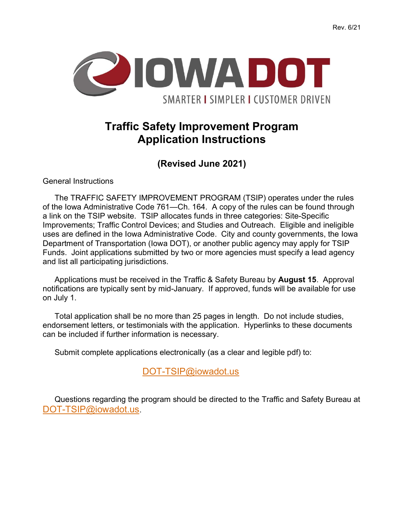

## Traffic Safety Improvement Program Application Instructions

(Revised June 2021)

General Instructions

The TRAFFIC SAFETY IMPROVEMENT PROGRAM (TSIP) operates under the rules of the Iowa Administrative Code 761—Ch. 164. A copy of the rules can be found through a link on the TSIP website. TSIP allocates funds in three categories: Site-Specific Improvements; Traffic Control Devices; and Studies and Outreach. Eligible and ineligible uses are defined in the Iowa Administrative Code. City and county governments, the Iowa Department of Transportation (Iowa DOT), or another public agency may apply for TSIP Funds. Joint applications submitted by two or more agencies must specify a lead agency and list all participating jurisdictions.

Applications must be received in the Traffic & Safety Bureau by August 15. Approval notifications are typically sent by mid-January. If approved, funds will be available for use on July 1.

Total application shall be no more than 25 pages in length. Do not include studies, endorsement letters, or testimonials with the application. Hyperlinks to these documents can be included if further information is necessary.

Submit complete applications electronically (as a clear and legible pdf) to:

DOT-TSIP@iowadot.us

Questions regarding the program should be directed to the Traffic and Safety Bureau at DOT-TSIP@iowadot.us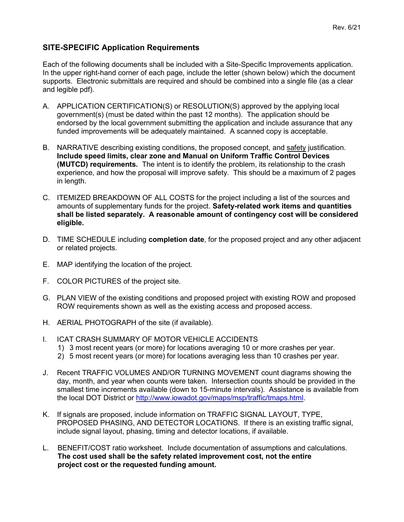## SITE-SPECIFIC Application Requirements

Each of the following documents shall be included with a Site-Specific Improvements application. In the upper right-hand corner of each page, include the letter (shown below) which the document supports. Electronic submittals are required and should be combined into a single file (as a clear and legible pdf).

- A. APPLICATION CERTIFICATION(S) or RESOLUTION(S) approved by the applying local government(s) (must be dated within the past 12 months). The application should be endorsed by the local government submitting the application and include assurance that any funded improvements will be adequately maintained. A scanned copy is acceptable.
- B. NARRATIVE describing existing conditions, the proposed concept, and safety justification. Include speed limits, clear zone and Manual on Uniform Traffic Control Devices (MUTCD) requirements. The intent is to identify the problem, its relationship to the crash experience, and how the proposal will improve safety. This should be a maximum of 2 pages in length.
- C. ITEMIZED BREAKDOWN OF ALL COSTS for the project including a list of the sources and amounts of supplementary funds for the project. Safety-related work items and quantities shall be listed separately. A reasonable amount of contingency cost will be considered eligible.
- D. TIME SCHEDULE including **completion date**, for the proposed project and any other adjacent or related projects.
- E. MAP identifying the location of the project.
- F. COLOR PICTURES of the project site.
- G. PLAN VIEW of the existing conditions and proposed project with existing ROW and proposed ROW requirements shown as well as the existing access and proposed access.
- H. AERIAL PHOTOGRAPH of the site (if available).
- I. ICAT CRASH SUMMARY OF MOTOR VEHICLE ACCIDENTS
	- 1) 3 most recent years (or more) for locations averaging 10 or more crashes per year.
	- 2) 5 most recent years (or more) for locations averaging less than 10 crashes per year.
- J. Recent TRAFFIC VOLUMES AND/OR TURNING MOVEMENT count diagrams showing the day, month, and year when counts were taken. Intersection counts should be provided in the smallest time increments available (down to 15-minute intervals). Assistance is available from the local DOT District or http://www.iowadot.gov/maps/msp/traffic/tmaps.html.
- K. If signals are proposed, include information on TRAFFIC SIGNAL LAYOUT, TYPE, PROPOSED PHASING, AND DETECTOR LOCATIONS. If there is an existing traffic signal, include signal layout, phasing, timing and detector locations, if available.
- L. BENEFIT/COST ratio worksheet. Include documentation of assumptions and calculations. The cost used shall be the safety related improvement cost, not the entire project cost or the requested funding amount.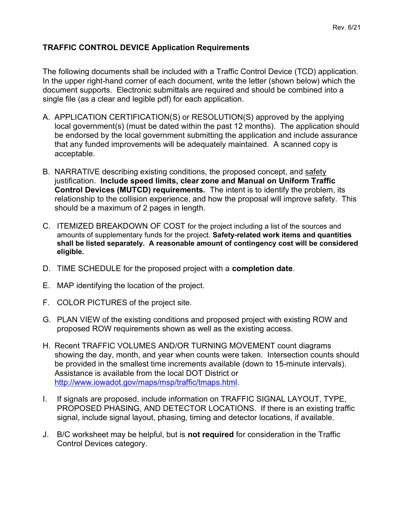## TRAFFIC CONTROL DEVICE Application Requirements

The following documents shall be included with a Traffic Control Device (TCD) application. In the upper right-hand corner of each document, write the letter (shown below) which the document supports. Electronic submittals are required and should be combined into a single file (as a clear and legible pdf) for each application.

- A. APPLICATION CERTIFICATION(S) or RESOLUTION(S) approved by the applying local government(s) (must be dated within the past 12 months). The application should be endorsed by the local government submitting the application and include assurance that any funded improvements will be adequately maintained. A scanned copy is acceptable.
- B. NARRATIVE describing existing conditions, the proposed concept, and safety justification. Include speed limits, clear zone and Manual on Uniform Traffic Control Devices (MUTCD) requirements. The intent is to identify the problem, its relationship to the collision experience, and how the proposal will improve safety. This should be a maximum of 2 pages in length.
- C. ITEMIZED BREAKDOWN OF COST for the project including a list of the sources and amounts of supplementary funds for the project. Safety-related work items and quantities shall be listed separately. A reasonable amount of contingency cost will be considered eligible.
- D. TIME SCHEDULE for the proposed project with a **completion date**.
- E. MAP identifying the location of the project.
- F. COLOR PICTURES of the project site.
- G. PLAN VIEW of the existing conditions and proposed project with existing ROW and proposed ROW requirements shown as well as the existing access.
- H. Recent TRAFFIC VOLUMES AND/OR TURNING MOVEMENT count diagrams showing the day, month, and year when counts were taken. Intersection counts should be provided in the smallest time increments available (down to 15-minute intervals). Assistance is available from the local DOT District or http://www.iowadot.gov/maps/msp/traffic/tmaps.html.
- I. If signals are proposed, include information on TRAFFIC SIGNAL LAYOUT, TYPE, PROPOSED PHASING, AND DETECTOR LOCATIONS. If there is an existing traffic signal, include signal layout, phasing, timing and detector locations, if available.
- J. B/C worksheet may be helpful, but is **not required** for consideration in the Traffic Control Devices category.